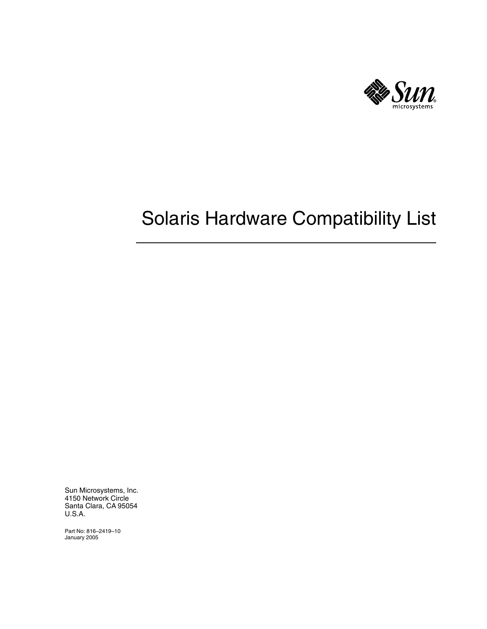

# Solaris Hardware Compatibility List

Sun Microsystems, Inc. 4150 Network Circle Santa Clara, CA 95054 U.S.A.

Part No: 816–2419–10 January 2005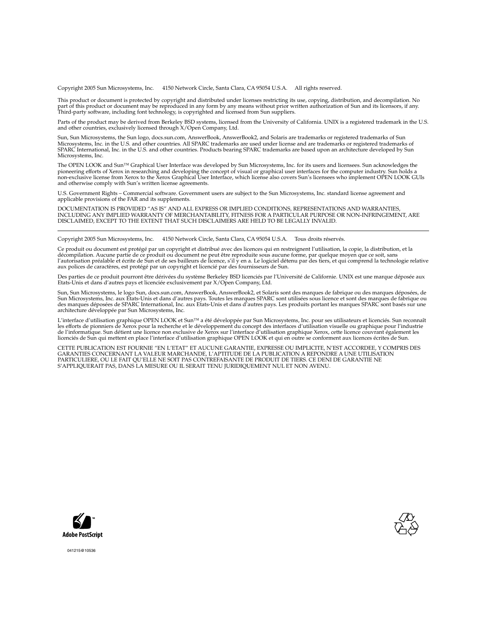Copyright 2005 Sun Microsystems, Inc. 4150 Network Circle, Santa Clara, CA 95054 U.S.A. All rights reserved.

This product or document is protected by copyright and distributed under licenses restricting its use, copying, distribution, and decompilation. No part of this product or document may be reproduced in any form by any means without prior written authorization of Sun and its licensors, if any.<br>Third-party software, including font technology, is copyrighted and licensed

Parts of the product may be derived from Berkeley BSD systems, licensed from the University of California. UNIX is a registered trademark in the U.S. and other countries, exclusively licensed through X/Open Company, Ltd.

Sun, Sun Microsystems, the Sun logo, docs.sun.com, AnswerBook, AnswerBook2, and Solaris are trademarks or registered trademarks of Sun<br>Microsystems, Inc. in the U.S. and other countries. All SPARC trademarks are used under Microsystems, Inc.

The OPEN LOOK and Sun™ Graphical User Interface was developed by Sun Microsystems, Inc. for its users and licensees. Sun acknowledges the pioneering efforts of Xerox in researching and developing the concept of visual or graphical user interfaces for the computer industry. Sun holds a<br>non-exclusive license from Xerox to the Xerox Graphical User Interface, wh and otherwise comply with Sun's written license agreements.

U.S. Government Rights – Commercial software. Government users are subject to the Sun Microsystems, Inc. standard license agreement and applicable provisions of the FAR and its supplements.

DOCUMENTATION IS PROVIDED "AS IS" AND ALL EXPRESS OR IMPLIED CONDITIONS, REPRESENTATIONS AND WARRANTIES,<br>INCLUDING ANY IMPLIED WARRANTY OF MERCHANTABILITY, FITNESS FOR A PARTICULAR PURPOSE OR NON-INFRINGEMENT, ARE<br>DISCLAIM

Copyright 2005 Sun Microsystems, Inc. 4150 Network Circle, Santa Clara, CA 95054 U.S.A. Tous droits réservés.

Ce produit ou document est protégé par un copyright et distribué avec des licences qui en restreignent l'utilisation, la copie, la distribution, et la décompilation. Aucune partie de ce produit ou document ne peut être reproduite sous aucune forme, par quelque moyen que ce soit, sans<br>l'autorisation préalable et écrite de Sun et de ses bailleurs de licence, s'il y en a. L

Des parties de ce produit pourront être dérivées du système Berkeley BSD licenciés par l'Université de Californie. UNIX est une marque déposée aux Etats-Unis et dans d'autres pays et licenciée exclusivement par X/Open Company, Ltd.

Sun, Sun Microsystems, le logo Sun, docs.sun.com, AnswerBook, AnswerBook2, et Solaris sont des marques de fabrique ou des marques déposées, de<br>Sun Microsystems, Inc. aux Etats-Unis et dans d'autres pays. Toutes les marques architecture développée par Sun Microsystems, Inc.

L'interface d'utilisation graphique OPEN LOOK et Sun™a été développée par Sun Microsystems, Inc. pour ses utilisateurs et licenciés. Sun reconnaît<br>les efforts de pionniers de Xerox pour la recherche et le développement du de l'informatique. Sun détient une licence non exclusive de Xerox sur l'interface d'utilisation graphique Xerox, cette licence couvrant également les<br>licenciés de Sun qui mettent en place l'interface d'utilisation graphiqu

CETTE PUBLICATION EST FOURNIE "EN L'ETAT" ET AUCUNE GARANTIE, EXPRESSE OU IMPLICITE, N'EST ACCORDEE, Y COMPRIS DES GARANTIES CONCERNANT LA VALEUR MARCHANDE, L'APTITUDE DE LA PUBLICATION A REPONDRE A UNE UTILISATION<br>PARTICULIERE, OU LE FAIT QU'ELLE NE SOIT PAS CONTREFAISANTE DE PRODUIT DE TIERS. CE DENI DE GARANTIE NE<br>S'APPLIQUERAIT PAS





041215@10536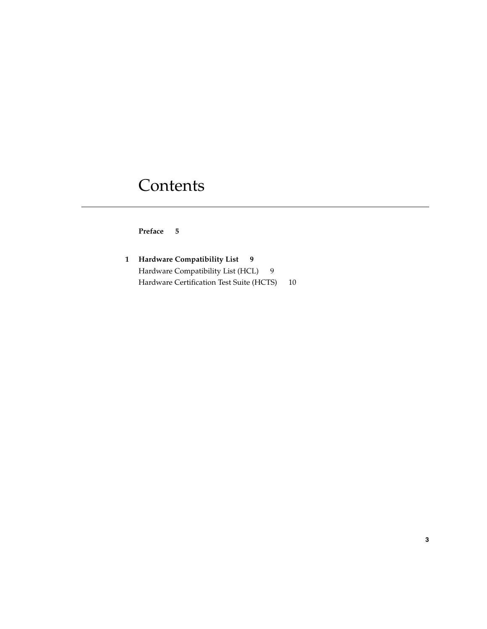# **Contents**

**[Preface 5](#page-4-0)**

**[1 Hardware Compatibility List 9](#page-8-0)** [Hardware Compatibility List \(HCL\) 9](#page-8-0) [Hardware Certification Test Suite \(HCTS\) 10](#page-9-0)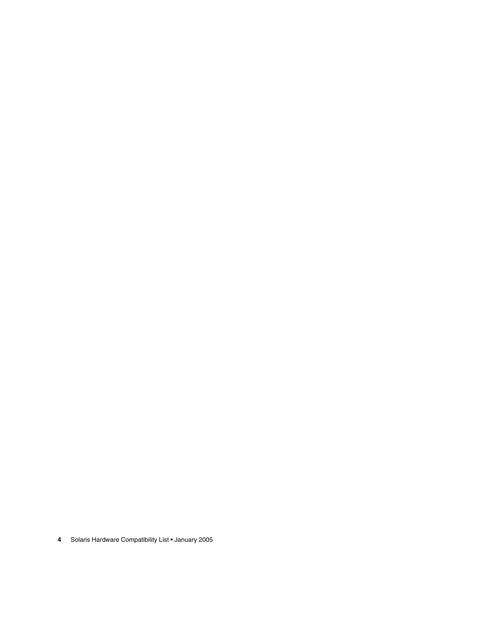Solaris Hardware Compatibility List • January 2005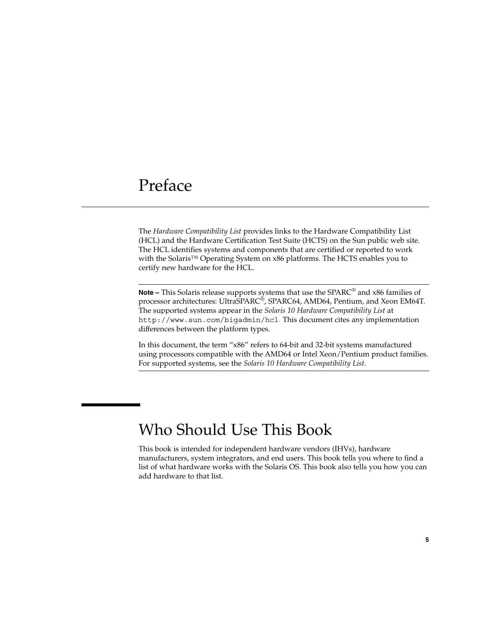## <span id="page-4-0"></span>Preface

The *Hardware Compatibility List* provides links to the Hardware Compatibility List (HCL) and the Hardware Certification Test Suite (HCTS) on the Sun public web site. The HCL identifies systems and components that are certified or reported to work with the Solaris™ Operating System on x86 platforms. The HCTS enables you to certify new hardware for the HCL.

**Note –** This Solaris release supports systems that use the SPARC® and x86 families of processor architectures: UltraSPARC®, SPARC64, AMD64, Pentium, and Xeon EM64T. The supported systems appear in the *Solaris 10 Hardware Compatibility List* at <http://www.sun.com/bigadmin/hcl>. This document cites any implementation differences between the platform types.

In this document, the term "x86" refers to 64-bit and 32-bit systems manufactured using processors compatible with the AMD64 or Intel Xeon/Pentium product families. For supported systems, see the *Solaris 10 Hardware Compatibility List*.

### Who Should Use This Book

This book is intended for independent hardware vendors (IHVs), hardware manufacturers, system integrators, and end users. This book tells you where to find a list of what hardware works with the Solaris OS. This book also tells you how you can add hardware to that list.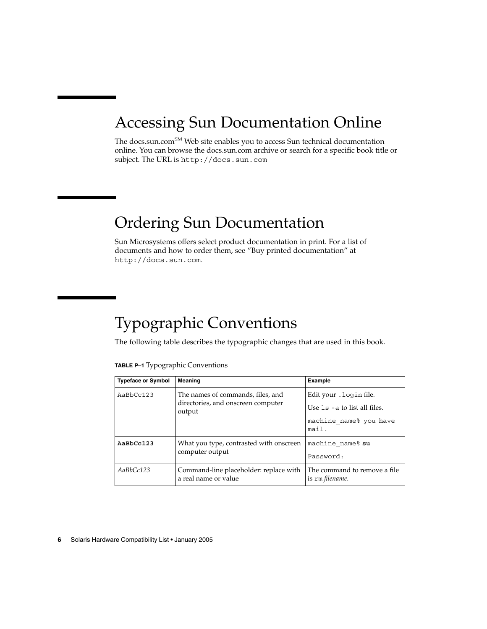# Accessing Sun Documentation Online

The docs.sun.com<sup>SM</sup> Web site enables you to access Sun technical documentation online. You can browse the docs.sun.com archive or search for a specific book title or subject. The URL is <http://docs.sun.com>.

# Ordering Sun Documentation

Sun Microsystems offers select product documentation in print. For a list of documents and how to order them, see "Buy printed documentation" at <http://docs.sun.com>.

# Typographic Conventions

The following table describes the typographic changes that are used in this book.

| <b>Typeface or Symbol</b> | Meaning                                                                           | <b>Example</b>                                  |
|---------------------------|-----------------------------------------------------------------------------------|-------------------------------------------------|
| AaBbCc123                 | The names of commands, files, and<br>directories, and onscreen computer<br>output | Edit your . login file.                         |
|                           |                                                                                   | Use $1s - a$ to list all files.                 |
|                           |                                                                                   | machine name% you have<br>mail.                 |
| AaBbCc123                 | What you type, contrasted with onscreen<br>computer output                        | machine name% su                                |
|                           |                                                                                   | Password:                                       |
| AaBbCc123                 | Command-line placeholder: replace with<br>a real name or value                    | The command to remove a file<br>is rm filename. |

**6** Solaris Hardware Compatibility List • January 2005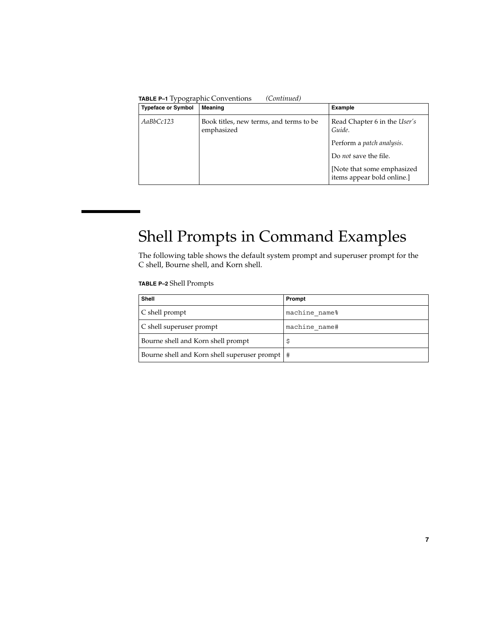#### **TABLE P–1** Typographic Conventions *(Continued)*

| <b>Typeface or Symbol</b> | <b>Meaning</b>                                        | <b>Example</b>                                            |
|---------------------------|-------------------------------------------------------|-----------------------------------------------------------|
| AaBbCc123                 | Book titles, new terms, and terms to be<br>emphasized | Read Chapter 6 in the User's<br>Guide.                    |
|                           |                                                       | Perform a <i>patch analysis</i> .                         |
|                           |                                                       | Do <i>not</i> save the file.                              |
|                           |                                                       | [Note that some emphasized]<br>items appear bold online.] |

# Shell Prompts in Command Examples

The following table shows the default system prompt and superuser prompt for the C shell, Bourne shell, and Korn shell.

**TABLE P–2** Shell Prompts

| <b>Shell</b>                                     | Prompt        |
|--------------------------------------------------|---------------|
| $\mathcal C$ shell prompt                        | machine name% |
| C shell superuser prompt                         | machine name# |
| Bourne shell and Korn shell prompt               | \$            |
| Bourne shell and Korn shell superuser prompt   # |               |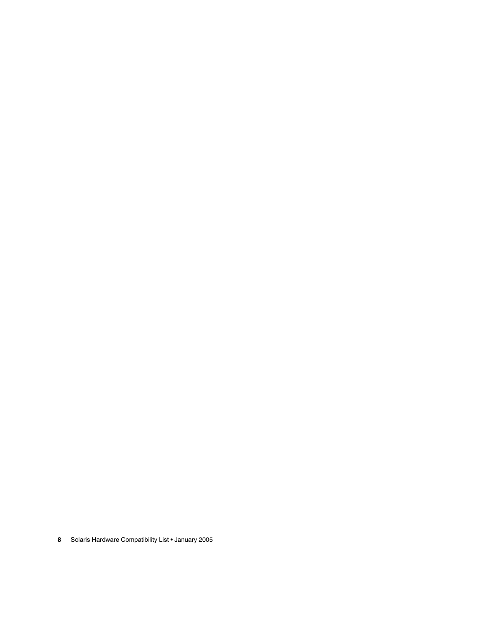Solaris Hardware Compatibility List • January 2005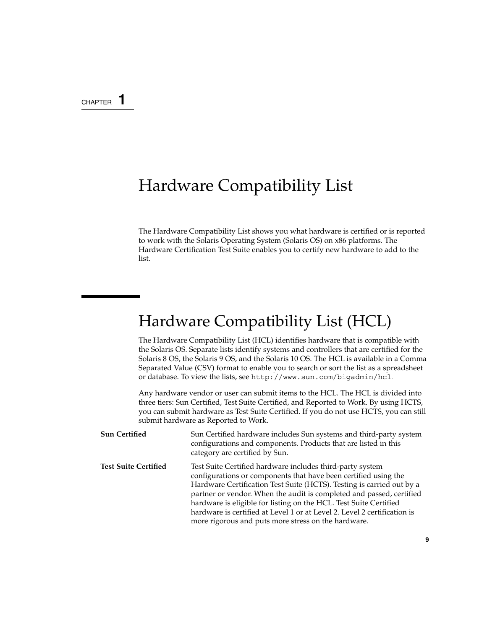#### <span id="page-8-0"></span>CHAPTER **1**

### Hardware Compatibility List

The Hardware Compatibility List shows you what hardware is certified or is reported to work with the Solaris Operating System (Solaris OS) on x86 platforms. The Hardware Certification Test Suite enables you to certify new hardware to add to the list.

## Hardware Compatibility List (HCL)

The Hardware Compatibility List (HCL) identifies hardware that is compatible with the Solaris OS. Separate lists identify systems and controllers that are certified for the Solaris 8 OS, the Solaris 9 OS, and the Solaris 10 OS. The HCL is available in a Comma Separated Value (CSV) format to enable you to search or sort the list as a spreadsheet or database. To view the lists, see <http://www.sun.com/bigadmin/hcl>.

Any hardware vendor or user can submit items to the HCL. The HCL is divided into three tiers: Sun Certified, Test Suite Certified, and Reported to Work. By using HCTS, you can submit hardware as Test Suite Certified. If you do not use HCTS, you can still submit hardware as Reported to Work.

| <b>Sun Certified</b>        | Sun Certified hardware includes Sun systems and third-party system<br>configurations and components. Products that are listed in this<br>category are certified by Sun.                                                                                                                                                                                                                                                                                                               |
|-----------------------------|---------------------------------------------------------------------------------------------------------------------------------------------------------------------------------------------------------------------------------------------------------------------------------------------------------------------------------------------------------------------------------------------------------------------------------------------------------------------------------------|
| <b>Test Suite Certified</b> | Test Suite Certified hardware includes third-party system<br>configurations or components that have been certified using the<br>Hardware Certification Test Suite (HCTS). Testing is carried out by a<br>partner or vendor. When the audit is completed and passed, certified<br>hardware is eligible for listing on the HCL. Test Suite Certified<br>hardware is certified at Level 1 or at Level 2. Level 2 certification is<br>more rigorous and puts more stress on the hardware. |